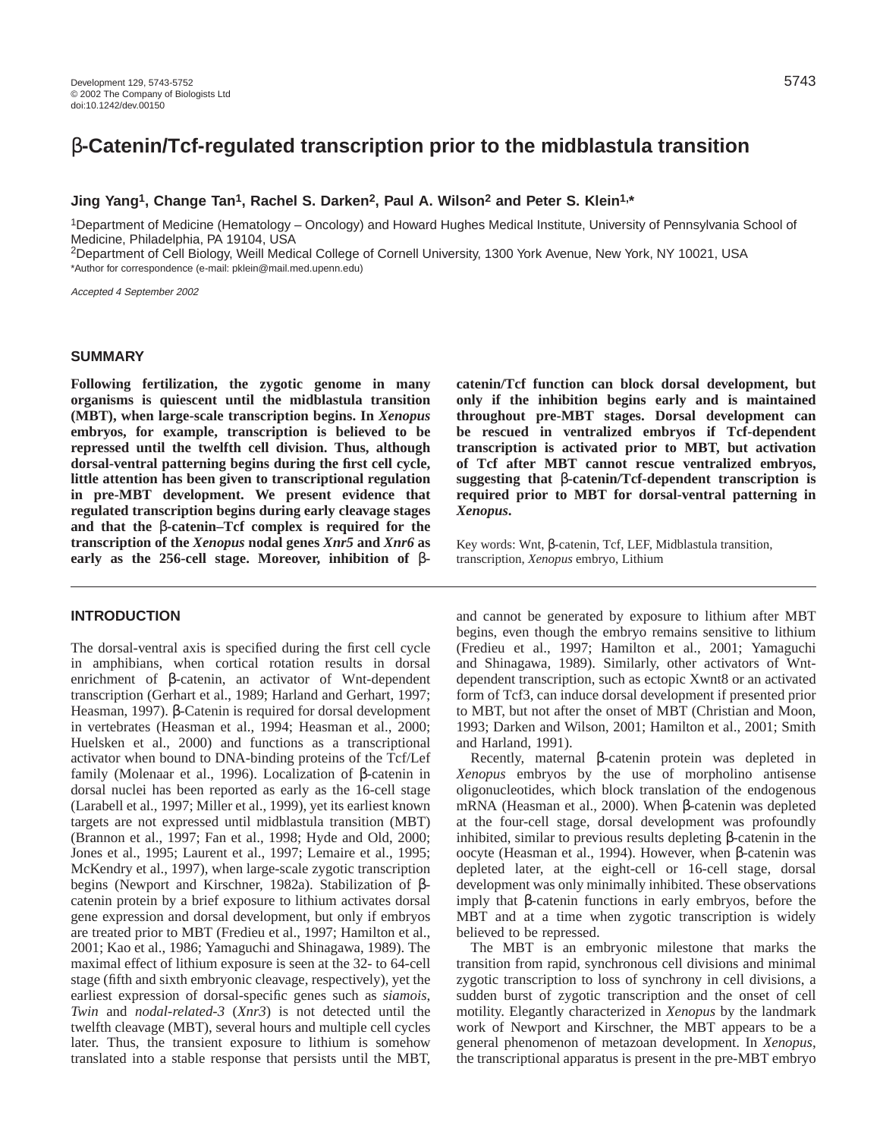# **Jing Yang1, Change Tan1, Rachel S. Darken2, Paul A. Wilson2 and Peter S. Klein1,\***

1Department of Medicine (Hematology – Oncology) and Howard Hughes Medical Institute, University of Pennsylvania School of Medicine, Philadelphia, PA 19104, USA

2Department of Cell Biology, Weill Medical College of Cornell University, 1300 York Avenue, New York, NY 10021, USA \*Author for correspondence (e-mail: pklein@mail.med.upenn.edu)

Accepted 4 September 2002

#### **SUMMARY**

**Following fertilization, the zygotic genome in many organisms is quiescent until the midblastula transition (MBT), when large-scale transcription begins. In** *Xenopus* **embryos, for example, transcription is believed to be repressed until the twelfth cell division. Thus, although dorsal-ventral patterning begins during the first cell cycle, little attention has been given to transcriptional regulation in pre-MBT development. We present evidence that regulated transcription begins during early cleavage stages and that the** β**-catenin–Tcf complex is required for the transcription of the** *Xenopus* **nodal genes** *Xnr5* **and** *Xnr6* **as early as the 256-cell stage. Moreover, inhibition of** β**-**

# **INTRODUCTION**

The dorsal-ventral axis is specified during the first cell cycle in amphibians, when cortical rotation results in dorsal enrichment of β-catenin, an activator of Wnt-dependent transcription (Gerhart et al., 1989; Harland and Gerhart, 1997; Heasman, 1997). β-Catenin is required for dorsal development in vertebrates (Heasman et al., 1994; Heasman et al., 2000; Huelsken et al., 2000) and functions as a transcriptional activator when bound to DNA-binding proteins of the Tcf/Lef family (Molenaar et al., 1996). Localization of β-catenin in dorsal nuclei has been reported as early as the 16-cell stage (Larabell et al., 1997; Miller et al., 1999), yet its earliest known targets are not expressed until midblastula transition (MBT) (Brannon et al., 1997; Fan et al., 1998; Hyde and Old, 2000; Jones et al., 1995; Laurent et al., 1997; Lemaire et al., 1995; McKendry et al., 1997), when large-scale zygotic transcription begins (Newport and Kirschner, 1982a). Stabilization of βcatenin protein by a brief exposure to lithium activates dorsal gene expression and dorsal development, but only if embryos are treated prior to MBT (Fredieu et al., 1997; Hamilton et al., 2001; Kao et al., 1986; Yamaguchi and Shinagawa, 1989). The maximal effect of lithium exposure is seen at the 32- to 64-cell stage (fifth and sixth embryonic cleavage, respectively), yet the earliest expression of dorsal-specific genes such as *siamois*, *Twin* and *nodal-related-3* (*Xnr3*) is not detected until the twelfth cleavage (MBT), several hours and multiple cell cycles later. Thus, the transient exposure to lithium is somehow translated into a stable response that persists until the MBT,

**catenin/Tcf function can block dorsal development, but only if the inhibition begins early and is maintained throughout pre-MBT stages. Dorsal development can be rescued in ventralized embryos if Tcf-dependent transcription is activated prior to MBT, but activation of Tcf after MBT cannot rescue ventralized embryos, suggesting that** β**-catenin/Tcf-dependent transcription is required prior to MBT for dorsal-ventral patterning in** *Xenopus***.**

Key words: Wnt, β-catenin, Tcf, LEF, Midblastula transition, transcription, *Xenopus* embryo, Lithium

and cannot be generated by exposure to lithium after MBT begins, even though the embryo remains sensitive to lithium (Fredieu et al., 1997; Hamilton et al., 2001; Yamaguchi and Shinagawa, 1989). Similarly, other activators of Wntdependent transcription, such as ectopic Xwnt8 or an activated form of Tcf3, can induce dorsal development if presented prior to MBT, but not after the onset of MBT (Christian and Moon, 1993; Darken and Wilson, 2001; Hamilton et al., 2001; Smith and Harland, 1991).

Recently, maternal β-catenin protein was depleted in *Xenopus* embryos by the use of morpholino antisense oligonucleotides, which block translation of the endogenous mRNA (Heasman et al., 2000). When β-catenin was depleted at the four-cell stage, dorsal development was profoundly inhibited, similar to previous results depleting β-catenin in the oocyte (Heasman et al., 1994). However, when β-catenin was depleted later, at the eight-cell or 16-cell stage, dorsal development was only minimally inhibited. These observations imply that β-catenin functions in early embryos, before the MBT and at a time when zygotic transcription is widely believed to be repressed.

The MBT is an embryonic milestone that marks the transition from rapid, synchronous cell divisions and minimal zygotic transcription to loss of synchrony in cell divisions, a sudden burst of zygotic transcription and the onset of cell motility. Elegantly characterized in *Xenopus* by the landmark work of Newport and Kirschner, the MBT appears to be a general phenomenon of metazoan development. In *Xenopus*, the transcriptional apparatus is present in the pre-MBT embryo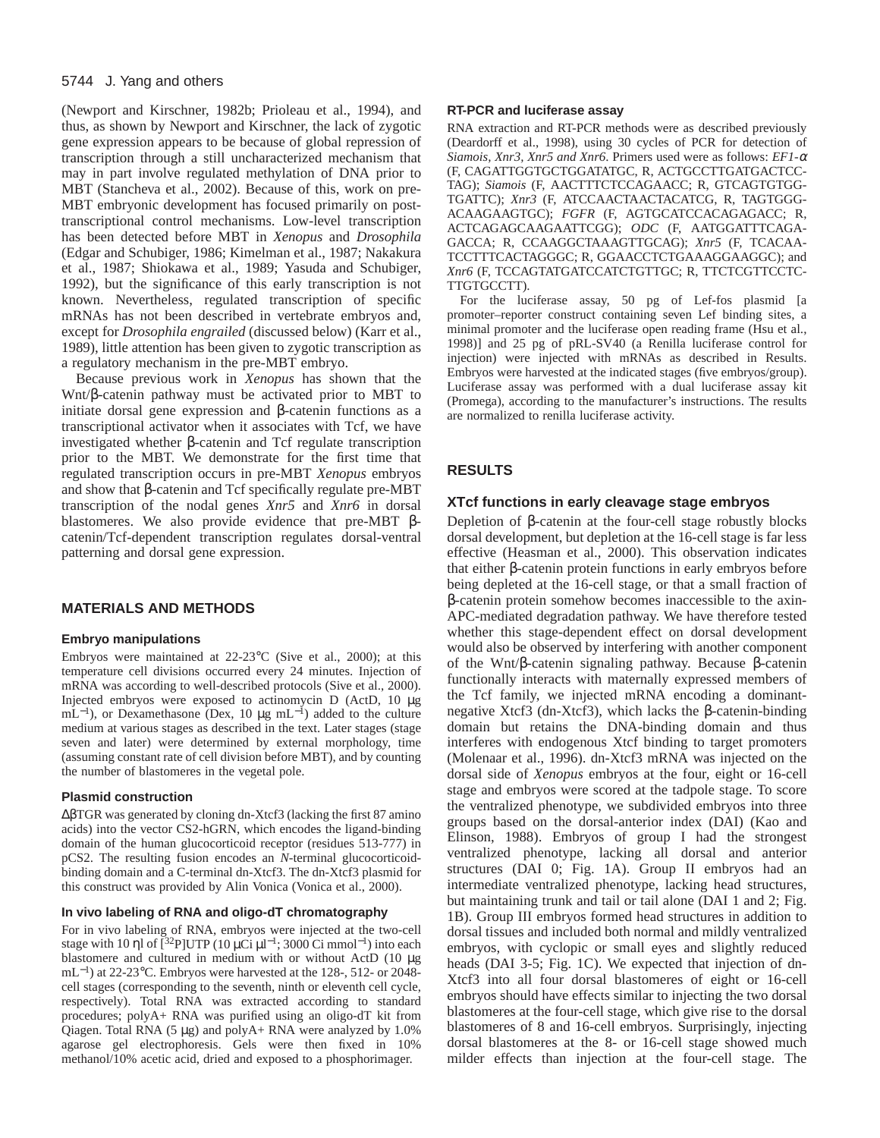### 5744 J. Yang and others

(Newport and Kirschner, 1982b; Prioleau et al., 1994), and thus, as shown by Newport and Kirschner, the lack of zygotic gene expression appears to be because of global repression of transcription through a still uncharacterized mechanism that may in part involve regulated methylation of DNA prior to MBT (Stancheva et al., 2002). Because of this, work on pre-MBT embryonic development has focused primarily on posttranscriptional control mechanisms. Low-level transcription has been detected before MBT in *Xenopus* and *Drosophila* (Edgar and Schubiger, 1986; Kimelman et al., 1987; Nakakura et al., 1987; Shiokawa et al., 1989; Yasuda and Schubiger, 1992), but the significance of this early transcription is not known. Nevertheless, regulated transcription of specific mRNAs has not been described in vertebrate embryos and, except for *Drosophila engrailed* (discussed below) (Karr et al., 1989), little attention has been given to zygotic transcription as a regulatory mechanism in the pre-MBT embryo.

Because previous work in *Xenopus* has shown that the Wnt/β-catenin pathway must be activated prior to MBT to initiate dorsal gene expression and β-catenin functions as a transcriptional activator when it associates with Tcf, we have investigated whether β-catenin and Tcf regulate transcription prior to the MBT. We demonstrate for the first time that regulated transcription occurs in pre-MBT *Xenopus* embryos and show that β-catenin and Tcf specifically regulate pre-MBT transcription of the nodal genes *Xnr5* and *Xnr6* in dorsal blastomeres. We also provide evidence that pre-MBT βcatenin/Tcf-dependent transcription regulates dorsal-ventral patterning and dorsal gene expression.

# **MATERIALS AND METHODS**

### **Embryo manipulations**

Embryos were maintained at 22-23°C (Sive et al., 2000); at this temperature cell divisions occurred every 24 minutes. Injection of mRNA was according to well-described protocols (Sive et al., 2000). Injected embryos were exposed to actinomycin D (ActD, 10 µg mL<sup>-1</sup>), or Dexamethasone (Dex, 10 µg mL<sup>-1</sup>) added to the culture medium at various stages as described in the text. Later stages (stage seven and later) were determined by external morphology, time (assuming constant rate of cell division before MBT), and by counting the number of blastomeres in the vegetal pole.

#### **Plasmid construction**

∆βTGR was generated by cloning dn-Xtcf3 (lacking the first 87 amino acids) into the vector CS2-hGRN, which encodes the ligand-binding domain of the human glucocorticoid receptor (residues 513-777) in pCS2. The resulting fusion encodes an *N*-terminal glucocorticoidbinding domain and a C-terminal dn-Xtcf3. The dn-Xtcf3 plasmid for this construct was provided by Alin Vonica (Vonica et al., 2000).

#### **In vivo labeling of RNA and oligo-dT chromatography**

For in vivo labeling of RNA, embryos were injected at the two-cell stage with 10 ηl of  $[^{32}P]$ UTP (10 μCi  $\mu$ l<sup>-1</sup>; 3000 Ci mmol<sup>-1</sup>) into each blastomere and cultured in medium with or without ActD (10 µg mL<sup>−</sup>1) at 22-23°C. Embryos were harvested at the 128-, 512- or 2048 cell stages (corresponding to the seventh, ninth or eleventh cell cycle, respectively). Total RNA was extracted according to standard procedures; polyA+ RNA was purified using an oligo-dT kit from Qiagen. Total RNA  $(5 \mu g)$  and polyA+ RNA were analyzed by 1.0% agarose gel electrophoresis. Gels were then fixed in 10% methanol/10% acetic acid, dried and exposed to a phosphorimager.

#### **RT-PCR and luciferase assay**

RNA extraction and RT-PCR methods were as described previously (Deardorff et al., 1998), using 30 cycles of PCR for detection of *Siamois, Xnr3, Xnr5 and Xnr6*. Primers used were as follows: *EF1-*<sup>α</sup> (F, CAGATTGGTGCTGGATATGC, R, ACTGCCTTGATGACTCC-TAG); *Siamois* (F, AACTTTCTCCAGAACC; R, GTCAGTGTGG-TGATTC); *Xnr3* (F, ATCCAACTAACTACATCG, R, TAGTGGG-ACAAGAAGTGC); *FGFR* (F, AGTGCATCCACAGAGACC; R, ACTCAGAGCAAGAATTCGG); *ODC* (F, AATGGATTTCAGA-GACCA; R, CCAAGGCTAAAGTTGCAG); *Xnr5* (F, TCACAA-TCCTTTCACTAGGGC; R, GGAACCTCTGAAAGGAAGGC); and *Xnr6* (F, TCCAGTATGATCCATCTGTTGC; R, TTCTCGTTCCTC-TTGTGCCTT).

For the luciferase assay, 50 pg of Lef-fos plasmid [a promoter–reporter construct containing seven Lef binding sites, a minimal promoter and the luciferase open reading frame (Hsu et al., 1998)] and 25 pg of pRL-SV40 (a Renilla luciferase control for injection) were injected with mRNAs as described in Results. Embryos were harvested at the indicated stages (five embryos/group). Luciferase assay was performed with a dual luciferase assay kit (Promega), according to the manufacturer's instructions. The results are normalized to renilla luciferase activity.

## **RESULTS**

### **XTcf functions in early cleavage stage embryos**

Depletion of β-catenin at the four-cell stage robustly blocks dorsal development, but depletion at the 16-cell stage is far less effective (Heasman et al., 2000). This observation indicates that either β-catenin protein functions in early embryos before being depleted at the 16-cell stage, or that a small fraction of β-catenin protein somehow becomes inaccessible to the axin-APC-mediated degradation pathway. We have therefore tested whether this stage-dependent effect on dorsal development would also be observed by interfering with another component of the Wnt/β-catenin signaling pathway. Because β-catenin functionally interacts with maternally expressed members of the Tcf family, we injected mRNA encoding a dominantnegative Xtcf3 (dn-Xtcf3), which lacks the β-catenin-binding domain but retains the DNA-binding domain and thus interferes with endogenous Xtcf binding to target promoters (Molenaar et al., 1996). dn-Xtcf3 mRNA was injected on the dorsal side of *Xenopus* embryos at the four, eight or 16-cell stage and embryos were scored at the tadpole stage. To score the ventralized phenotype, we subdivided embryos into three groups based on the dorsal-anterior index (DAI) (Kao and Elinson, 1988). Embryos of group I had the strongest ventralized phenotype, lacking all dorsal and anterior structures (DAI 0; Fig. 1A). Group II embryos had an intermediate ventralized phenotype, lacking head structures, but maintaining trunk and tail or tail alone (DAI 1 and 2; Fig. 1B). Group III embryos formed head structures in addition to dorsal tissues and included both normal and mildly ventralized embryos, with cyclopic or small eyes and slightly reduced heads (DAI 3-5; Fig. 1C). We expected that injection of dn-Xtcf3 into all four dorsal blastomeres of eight or 16-cell embryos should have effects similar to injecting the two dorsal blastomeres at the four-cell stage, which give rise to the dorsal blastomeres of 8 and 16-cell embryos. Surprisingly, injecting dorsal blastomeres at the 8- or 16-cell stage showed much milder effects than injection at the four-cell stage. The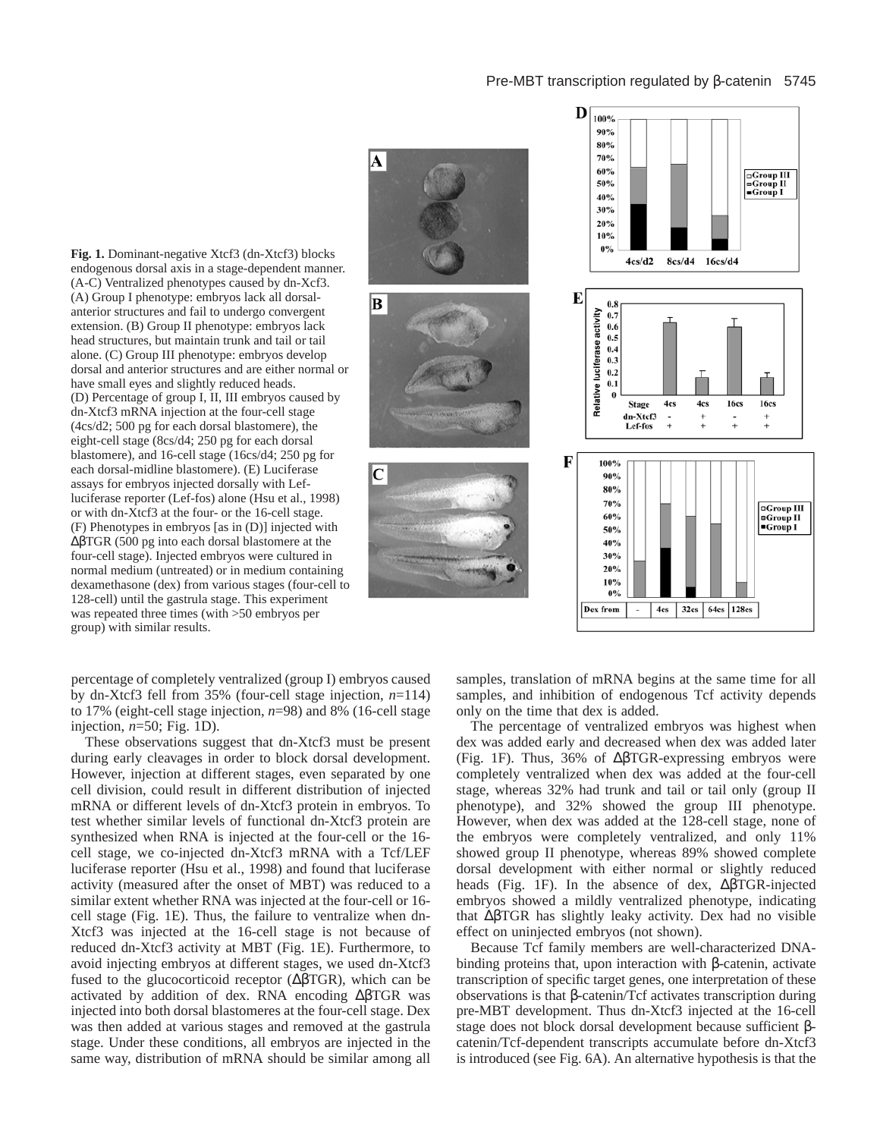## Pre-MBT transcription regulated by β-catenin 5745

A **Fig. 1.** Dominant-negative Xtcf3 (dn-Xtcf3) blocks endogenous dorsal axis in a stage-dependent manner. (A-C) Ventralized phenotypes caused by dn-Xcf3. В C



(A) Group I phenotype: embryos lack all dorsalanterior structures and fail to undergo convergent extension. (B) Group II phenotype: embryos lack head structures, but maintain trunk and tail or tail alone. (C) Group III phenotype: embryos develop dorsal and anterior structures and are either normal or have small eyes and slightly reduced heads. (D) Percentage of group I, II, III embryos caused by dn-Xtcf3 mRNA injection at the four-cell stage (4cs/d2; 500 pg for each dorsal blastomere), the eight-cell stage (8cs/d4; 250 pg for each dorsal blastomere), and 16-cell stage (16cs/d4; 250 pg for each dorsal-midline blastomere). (E) Luciferase assays for embryos injected dorsally with Lefluciferase reporter (Lef-fos) alone (Hsu et al., 1998) or with dn-Xtcf3 at the four- or the 16-cell stage. (F) Phenotypes in embryos [as in (D)] injected with ∆βTGR (500 pg into each dorsal blastomere at the four-cell stage). Injected embryos were cultured in normal medium (untreated) or in medium containing dexamethasone (dex) from various stages (four-cell to 128-cell) until the gastrula stage. This experiment was repeated three times (with >50 embryos per group) with similar results.

percentage of completely ventralized (group I) embryos caused by dn-Xtcf3 fell from 35% (four-cell stage injection, *n*=114) to 17% (eight-cell stage injection, *n*=98) and 8% (16-cell stage injection, *n*=50; Fig. 1D).

These observations suggest that dn-Xtcf3 must be present during early cleavages in order to block dorsal development. However, injection at different stages, even separated by one cell division, could result in different distribution of injected mRNA or different levels of dn-Xtcf3 protein in embryos. To test whether similar levels of functional dn-Xtcf3 protein are synthesized when RNA is injected at the four-cell or the 16 cell stage, we co-injected dn-Xtcf3 mRNA with a Tcf/LEF luciferase reporter (Hsu et al., 1998) and found that luciferase activity (measured after the onset of MBT) was reduced to a similar extent whether RNA was injected at the four-cell or 16 cell stage (Fig. 1E). Thus, the failure to ventralize when dn-Xtcf3 was injected at the 16-cell stage is not because of reduced dn-Xtcf3 activity at MBT (Fig. 1E). Furthermore, to avoid injecting embryos at different stages, we used dn-Xtcf3 fused to the glucocorticoid receptor (∆βTGR), which can be activated by addition of dex. RNA encoding ∆βTGR was injected into both dorsal blastomeres at the four-cell stage. Dex was then added at various stages and removed at the gastrula stage. Under these conditions, all embryos are injected in the same way, distribution of mRNA should be similar among all

samples, translation of mRNA begins at the same time for all samples, and inhibition of endogenous Tcf activity depends only on the time that dex is added.

The percentage of ventralized embryos was highest when dex was added early and decreased when dex was added later (Fig. 1F). Thus, 36% of ∆βTGR-expressing embryos were completely ventralized when dex was added at the four-cell stage, whereas 32% had trunk and tail or tail only (group II phenotype), and 32% showed the group III phenotype. However, when dex was added at the 128-cell stage, none of the embryos were completely ventralized, and only 11% showed group II phenotype, whereas 89% showed complete dorsal development with either normal or slightly reduced heads (Fig. 1F). In the absence of dex, ∆βTGR-injected embryos showed a mildly ventralized phenotype, indicating that ∆βTGR has slightly leaky activity. Dex had no visible effect on uninjected embryos (not shown).

Because Tcf family members are well-characterized DNAbinding proteins that, upon interaction with β-catenin, activate transcription of specific target genes, one interpretation of these observations is that β-catenin/Tcf activates transcription during pre-MBT development. Thus dn-Xtcf3 injected at the 16-cell stage does not block dorsal development because sufficient βcatenin/Tcf-dependent transcripts accumulate before dn-Xtcf3 is introduced (see Fig. 6A). An alternative hypothesis is that the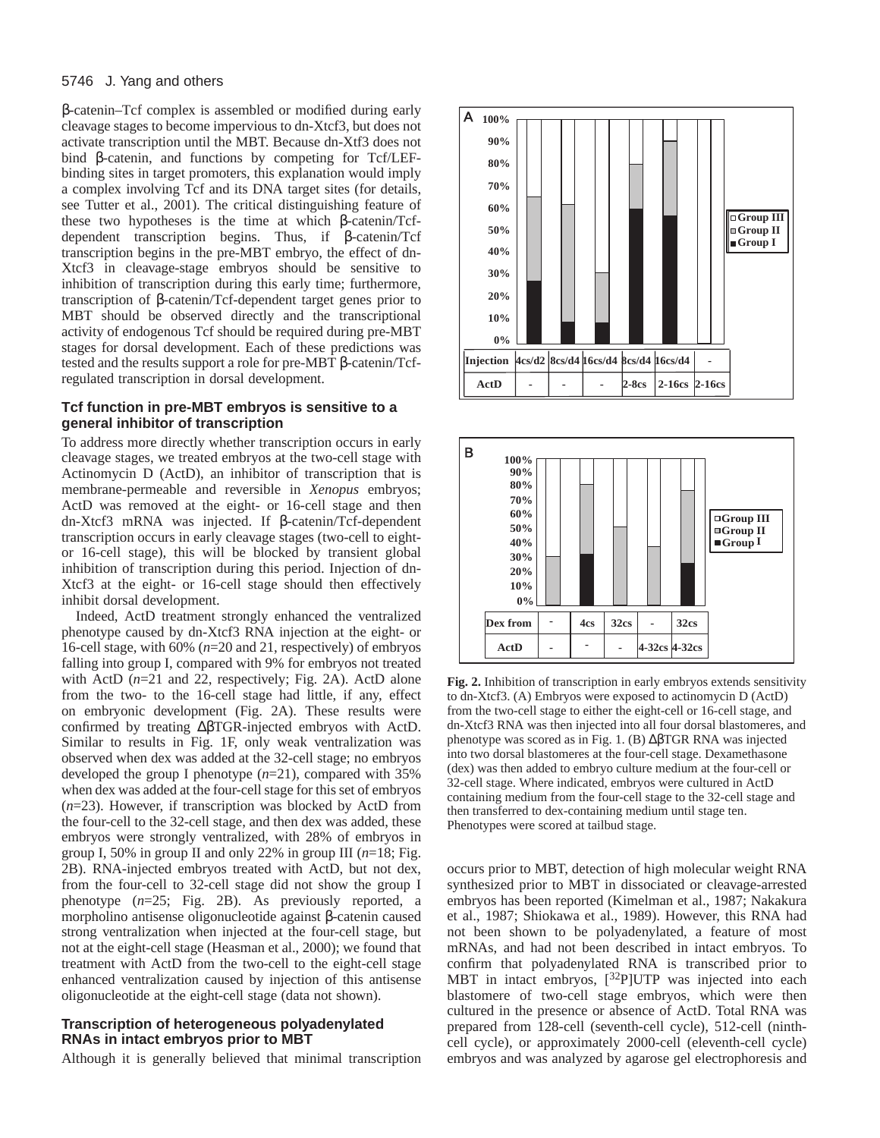### 5746 J. Yang and others

β-catenin–Tcf complex is assembled or modified during early cleavage stages to become impervious to dn-Xtcf3, but does not activate transcription until the MBT. Because dn-Xtf3 does not bind β-catenin, and functions by competing for Tcf/LEFbinding sites in target promoters, this explanation would imply a complex involving Tcf and its DNA target sites (for details, see Tutter et al., 2001). The critical distinguishing feature of these two hypotheses is the time at which β-catenin/Tcfdependent transcription begins. Thus, if β-catenin/Tcf transcription begins in the pre-MBT embryo, the effect of dn-Xtcf3 in cleavage-stage embryos should be sensitive to inhibition of transcription during this early time; furthermore, transcription of β-catenin/Tcf-dependent target genes prior to MBT should be observed directly and the transcriptional activity of endogenous Tcf should be required during pre-MBT stages for dorsal development. Each of these predictions was tested and the results support a role for pre-MBT β-catenin/Tcfregulated transcription in dorsal development.

## **Tcf function in pre-MBT embryos is sensitive to a general inhibitor of transcription**

To address more directly whether transcription occurs in early cleavage stages, we treated embryos at the two-cell stage with Actinomycin D (ActD), an inhibitor of transcription that is membrane-permeable and reversible in *Xenopus* embryos; ActD was removed at the eight- or 16-cell stage and then dn-Xtcf3 mRNA was injected. If β-catenin/Tcf-dependent transcription occurs in early cleavage stages (two-cell to eightor 16-cell stage), this will be blocked by transient global inhibition of transcription during this period. Injection of dn-Xtcf3 at the eight- or 16-cell stage should then effectively inhibit dorsal development.

Indeed, ActD treatment strongly enhanced the ventralized phenotype caused by dn-Xtcf3 RNA injection at the eight- or 16-cell stage, with 60% (*n*=20 and 21, respectively) of embryos falling into group I, compared with 9% for embryos not treated with ActD ( $n=21$  and 22, respectively; Fig. 2A). ActD alone from the two- to the 16-cell stage had little, if any, effect on embryonic development (Fig. 2A). These results were confirmed by treating ∆βTGR-injected embryos with ActD. Similar to results in Fig. 1F, only weak ventralization was observed when dex was added at the 32-cell stage; no embryos developed the group I phenotype (*n*=21), compared with 35% when dex was added at the four-cell stage for this set of embryos (*n*=23). However, if transcription was blocked by ActD from the four-cell to the 32-cell stage, and then dex was added, these embryos were strongly ventralized, with 28% of embryos in group I, 50% in group II and only 22% in group III (*n*=18; Fig. 2B). RNA-injected embryos treated with ActD, but not dex, from the four-cell to 32-cell stage did not show the group I phenotype (*n*=25; Fig. 2B). As previously reported, a morpholino antisense oligonucleotide against β-catenin caused strong ventralization when injected at the four-cell stage, but not at the eight-cell stage (Heasman et al., 2000); we found that treatment with ActD from the two-cell to the eight-cell stage enhanced ventralization caused by injection of this antisense oligonucleotide at the eight-cell stage (data not shown).

## **Transcription of heterogeneous polyadenylated RNAs in intact embryos prior to MBT**

Although it is generally believed that minimal transcription





**Fig. 2.** Inhibition of transcription in early embryos extends sensitivity to dn-Xtcf3. (A) Embryos were exposed to actinomycin D (ActD) from the two-cell stage to either the eight-cell or 16-cell stage, and dn-Xtcf3 RNA was then injected into all four dorsal blastomeres, and phenotype was scored as in Fig. 1. (B) ∆βTGR RNA was injected into two dorsal blastomeres at the four-cell stage. Dexamethasone (dex) was then added to embryo culture medium at the four-cell or 32-cell stage. Where indicated, embryos were cultured in ActD containing medium from the four-cell stage to the 32-cell stage and then transferred to dex-containing medium until stage ten. Phenotypes were scored at tailbud stage.

occurs prior to MBT, detection of high molecular weight RNA synthesized prior to MBT in dissociated or cleavage-arrested embryos has been reported (Kimelman et al., 1987; Nakakura et al., 1987; Shiokawa et al., 1989). However, this RNA had not been shown to be polyadenylated, a feature of most mRNAs, and had not been described in intact embryos. To confirm that polyadenylated RNA is transcribed prior to MBT in intact embryos, [32P]UTP was injected into each blastomere of two-cell stage embryos, which were then cultured in the presence or absence of ActD. Total RNA was prepared from 128-cell (seventh-cell cycle), 512-cell (ninthcell cycle), or approximately 2000-cell (eleventh-cell cycle) embryos and was analyzed by agarose gel electrophoresis and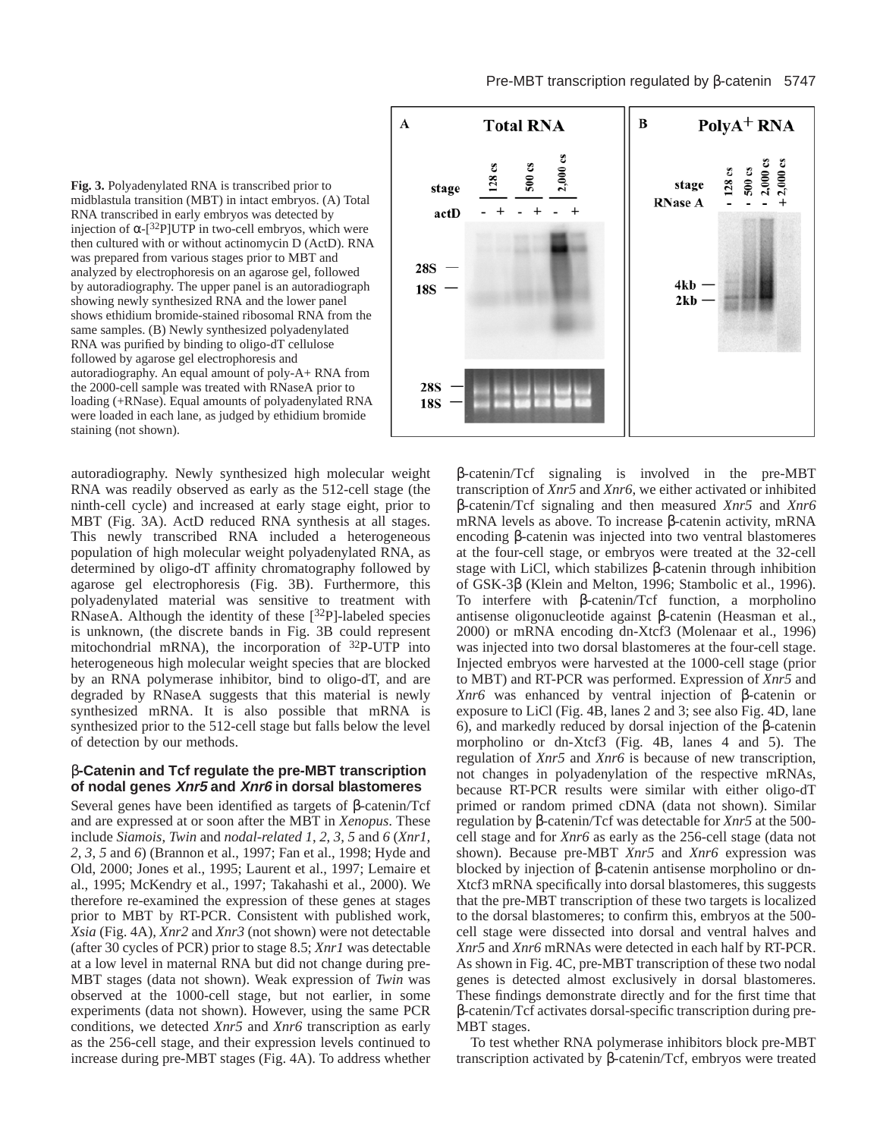**Fig. 3.** Polyadenylated RNA is transcribed prior to midblastula transition (MBT) in intact embryos. (A) Total RNA transcribed in early embryos was detected by injection of  $\alpha$ -[<sup>32</sup>P]UTP in two-cell embryos, which were then cultured with or without actinomycin D (ActD). RNA was prepared from various stages prior to MBT and analyzed by electrophoresis on an agarose gel, followed by autoradiography. The upper panel is an autoradiograph showing newly synthesized RNA and the lower panel shows ethidium bromide-stained ribosomal RNA from the same samples. (B) Newly synthesized polyadenylated RNA was purified by binding to oligo-dT cellulose followed by agarose gel electrophoresis and autoradiography. An equal amount of poly-A+ RNA from the 2000-cell sample was treated with RNaseA prior to loading (+RNase). Equal amounts of polyadenylated RNA were loaded in each lane, as judged by ethidium bromide staining (not shown).

autoradiography. Newly synthesized high molecular weight RNA was readily observed as early as the 512-cell stage (the ninth-cell cycle) and increased at early stage eight, prior to MBT (Fig. 3A). ActD reduced RNA synthesis at all stages. This newly transcribed RNA included a heterogeneous population of high molecular weight polyadenylated RNA, as determined by oligo-dT affinity chromatography followed by agarose gel electrophoresis (Fig. 3B). Furthermore, this polyadenylated material was sensitive to treatment with RNaseA. Although the identity of these  $[32P]$ -labeled species is unknown, (the discrete bands in Fig. 3B could represent mitochondrial mRNA), the incorporation of 32P-UTP into heterogeneous high molecular weight species that are blocked by an RNA polymerase inhibitor, bind to oligo-dT, and are degraded by RNaseA suggests that this material is newly synthesized mRNA. It is also possible that mRNA is synthesized prior to the 512-cell stage but falls below the level of detection by our methods.

## β**-Catenin and Tcf regulate the pre-MBT transcription of nodal genes Xnr5 and Xnr6 in dorsal blastomeres**

Several genes have been identified as targets of β-catenin/Tcf and are expressed at or soon after the MBT in *Xenopus*. These include *Siamois*, *Twin* and *nodal-related 1*, *2*, *3*, *5* and *6* (*Xnr1, 2*, *3*, *5* and *6*) (Brannon et al., 1997; Fan et al., 1998; Hyde and Old, 2000; Jones et al., 1995; Laurent et al., 1997; Lemaire et al., 1995; McKendry et al., 1997; Takahashi et al., 2000). We therefore re-examined the expression of these genes at stages prior to MBT by RT-PCR. Consistent with published work, *Xsia* (Fig. 4A), *Xnr2* and *Xnr3* (not shown) were not detectable (after 30 cycles of PCR) prior to stage 8.5; *Xnr1* was detectable at a low level in maternal RNA but did not change during pre-MBT stages (data not shown). Weak expression of *Twin* was observed at the 1000-cell stage, but not earlier, in some experiments (data not shown). However, using the same PCR conditions, we detected *Xnr5* and *Xnr6* transcription as early as the 256-cell stage, and their expression levels continued to increase during pre-MBT stages (Fig. 4A). To address whether



β-catenin/Tcf signaling is involved in the pre-MBT transcription of *Xnr5* and *Xnr6*, we either activated or inhibited β-catenin/Tcf signaling and then measured *Xnr5* and *Xnr6* mRNA levels as above. To increase β-catenin activity, mRNA encoding β-catenin was injected into two ventral blastomeres at the four-cell stage, or embryos were treated at the 32-cell stage with LiCl, which stabilizes β-catenin through inhibition of GSK-3β (Klein and Melton, 1996; Stambolic et al., 1996). To interfere with β-catenin/Tcf function, a morpholino antisense oligonucleotide against β-catenin (Heasman et al., 2000) or mRNA encoding dn-Xtcf3 (Molenaar et al., 1996) was injected into two dorsal blastomeres at the four-cell stage. Injected embryos were harvested at the 1000-cell stage (prior to MBT) and RT-PCR was performed. Expression of *Xnr5* and *Xnr6* was enhanced by ventral injection of β-catenin or exposure to LiCl (Fig. 4B, lanes 2 and 3; see also Fig. 4D, lane 6), and markedly reduced by dorsal injection of the β-catenin morpholino or dn-Xtcf3 (Fig. 4B, lanes 4 and 5). The regulation of *Xnr5* and *Xnr6* is because of new transcription, not changes in polyadenylation of the respective mRNAs, because RT-PCR results were similar with either oligo-dT primed or random primed cDNA (data not shown). Similar regulation by β-catenin/Tcf was detectable for *Xnr5* at the 500 cell stage and for *Xnr6* as early as the 256-cell stage (data not shown). Because pre-MBT *Xnr5* and *Xnr6* expression was blocked by injection of β-catenin antisense morpholino or dn-Xtcf3 mRNA specifically into dorsal blastomeres, this suggests that the pre-MBT transcription of these two targets is localized to the dorsal blastomeres; to confirm this, embryos at the 500 cell stage were dissected into dorsal and ventral halves and *Xnr5* and *Xnr6* mRNAs were detected in each half by RT-PCR. As shown in Fig. 4C, pre-MBT transcription of these two nodal genes is detected almost exclusively in dorsal blastomeres. These findings demonstrate directly and for the first time that β-catenin/Tcf activates dorsal-specific transcription during pre-MBT stages.

To test whether RNA polymerase inhibitors block pre-MBT transcription activated by β-catenin/Tcf, embryos were treated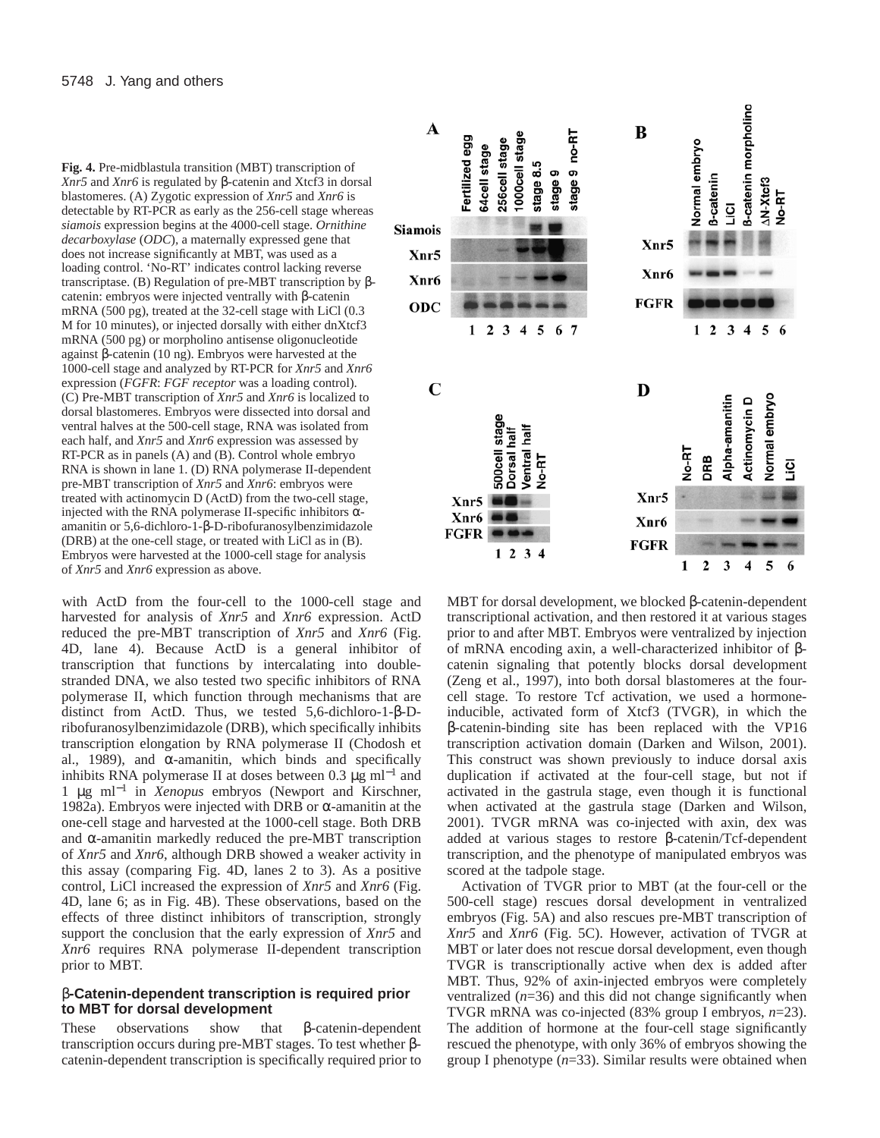**Fig. 4.** Pre-midblastula transition (MBT) transcription of *Xnr5* and *Xnr6* is regulated by β-catenin and Xtcf3 in dorsal blastomeres. (A) Zygotic expression of *Xnr5* and *Xnr6* is detectable by RT-PCR as early as the 256-cell stage whereas *siamois* expression begins at the 4000-cell stage. *Ornithine decarboxylase* (*ODC*)*,* a maternally expressed gene that does not increase significantly at MBT, was used as a loading control. 'No-RT' indicates control lacking reverse transcriptase. (B) Regulation of pre-MBT transcription by βcatenin: embryos were injected ventrally with β-catenin mRNA (500 pg), treated at the 32-cell stage with LiCl (0.3) M for 10 minutes), or injected dorsally with either dnXtcf3 mRNA (500 pg) or morpholino antisense oligonucleotide against β-catenin (10 ng). Embryos were harvested at the 1000-cell stage and analyzed by RT-PCR for *Xnr5* and *Xnr6* expression (*FGFR*: *FGF receptor* was a loading control). (C) Pre-MBT transcription of *Xnr5* and *Xnr6* is localized to dorsal blastomeres. Embryos were dissected into dorsal and ventral halves at the 500-cell stage, RNA was isolated from each half, and *Xnr5* and *Xnr6* expression was assessed by RT-PCR as in panels (A) and (B). Control whole embryo RNA is shown in lane 1. (D) RNA polymerase II-dependent pre-MBT transcription of *Xnr5* and *Xnr6*: embryos were treated with actinomycin D (ActD) from the two-cell stage, injected with the RNA polymerase II-specific inhibitors  $\alpha$ amanitin or 5,6-dichloro-1-β-D-ribofuranosylbenzimidazole (DRB) at the one-cell stage, or treated with LiCl as in (B). Embryos were harvested at the 1000-cell stage for analysis of *Xnr5* and *Xnr6* expression as above.

with ActD from the four-cell to the 1000-cell stage and harvested for analysis of *Xnr5* and *Xnr6* expression. ActD reduced the pre-MBT transcription of *Xnr5* and *Xnr6* (Fig. 4D, lane 4). Because ActD is a general inhibitor of transcription that functions by intercalating into doublestranded DNA, we also tested two specific inhibitors of RNA polymerase II, which function through mechanisms that are distinct from ActD. Thus, we tested 5,6-dichloro-1-β-Dribofuranosylbenzimidazole (DRB), which specifically inhibits transcription elongation by RNA polymerase II (Chodosh et al., 1989), and  $\alpha$ -amanitin, which binds and specifically inhibits RNA polymerase II at doses between 0.3  $\mu$ g ml<sup>-1</sup> and 1 µg ml−<sup>1</sup> in *Xenopus* embryos (Newport and Kirschner, 1982a). Embryos were injected with DRB or α-amanitin at the one-cell stage and harvested at the 1000-cell stage. Both DRB and  $\alpha$ -amanitin markedly reduced the pre-MBT transcription of *Xnr5* and *Xnr6*, although DRB showed a weaker activity in this assay (comparing Fig. 4D, lanes 2 to 3). As a positive control, LiCl increased the expression of *Xnr5* and *Xnr6* (Fig. 4D, lane 6; as in Fig. 4B). These observations, based on the effects of three distinct inhibitors of transcription, strongly support the conclusion that the early expression of *Xnr5* and *Xnr6* requires RNA polymerase II-dependent transcription prior to MBT.

## β**-Catenin-dependent transcription is required prior to MBT for dorsal development**

These observations show that β-catenin-dependent transcription occurs during pre-MBT stages. To test whether βcatenin-dependent transcription is specifically required prior to



MBT for dorsal development, we blocked β-catenin-dependent transcriptional activation, and then restored it at various stages prior to and after MBT. Embryos were ventralized by injection of mRNA encoding axin, a well-characterized inhibitor of βcatenin signaling that potently blocks dorsal development (Zeng et al., 1997), into both dorsal blastomeres at the fourcell stage. To restore Tcf activation, we used a hormoneinducible, activated form of Xtcf3 (TVGR), in which the β-catenin-binding site has been replaced with the VP16 transcription activation domain (Darken and Wilson, 2001). This construct was shown previously to induce dorsal axis duplication if activated at the four-cell stage, but not if activated in the gastrula stage, even though it is functional when activated at the gastrula stage (Darken and Wilson, 2001). TVGR mRNA was co-injected with axin, dex was added at various stages to restore β-catenin/Tcf-dependent transcription, and the phenotype of manipulated embryos was scored at the tadpole stage.

Activation of TVGR prior to MBT (at the four-cell or the 500-cell stage) rescues dorsal development in ventralized embryos (Fig. 5A) and also rescues pre-MBT transcription of *Xnr5* and *Xnr6* (Fig. 5C). However, activation of TVGR at MBT or later does not rescue dorsal development, even though TVGR is transcriptionally active when dex is added after MBT. Thus, 92% of axin-injected embryos were completely ventralized  $(n=36)$  and this did not change significantly when TVGR mRNA was co-injected (83% group I embryos, *n*=23). The addition of hormone at the four-cell stage significantly rescued the phenotype, with only 36% of embryos showing the group I phenotype (*n*=33). Similar results were obtained when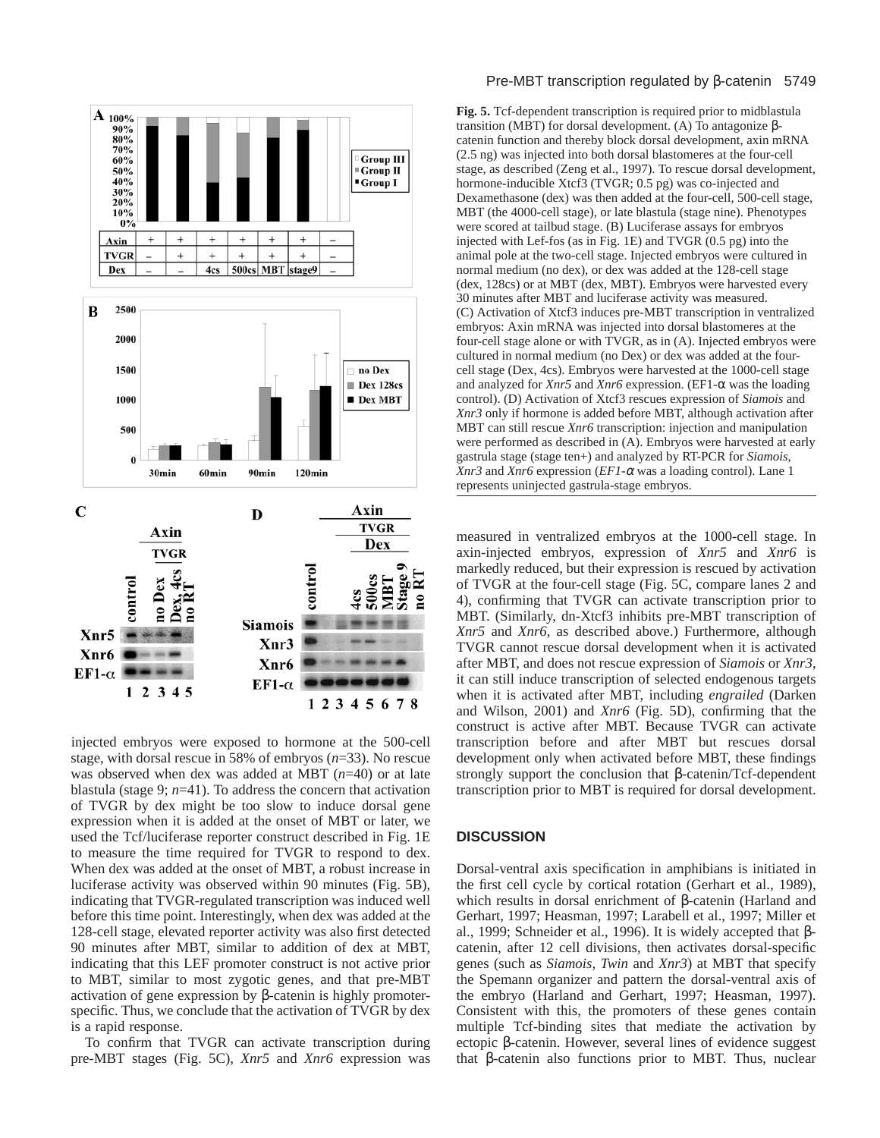

injected embryos were exposed to hormone at the 500-cell stage, with dorsal rescue in 58% of embryos (*n*=33). No rescue was observed when dex was added at MBT (*n*=40) or at late blastula (stage 9; *n*=41). To address the concern that activation of TVGR by dex might be too slow to induce dorsal gene expression when it is added at the onset of MBT or later, we used the Tcf/luciferase reporter construct described in Fig. 1E to measure the time required for TVGR to respond to dex. When dex was added at the onset of MBT, a robust increase in luciferase activity was observed within 90 minutes (Fig. 5B), indicating that TVGR-regulated transcription was induced well before this time point. Interestingly, when dex was added at the 128-cell stage, elevated reporter activity was also first detected 90 minutes after MBT, similar to addition of dex at MBT, indicating that this LEF promoter construct is not active prior to MBT, similar to most zygotic genes, and that pre-MBT activation of gene expression by β-catenin is highly promoterspecific. Thus, we conclude that the activation of TVGR by dex is a rapid response.

To confirm that TVGR can activate transcription during pre-MBT stages (Fig. 5C), *Xnr5* and *Xnr6* expression was

### Pre-MBT transcription regulated by β-catenin 5749

**Fig. 5.** Tcf-dependent transcription is required prior to midblastula transition (MBT) for dorsal development. (A) To antagonize βcatenin function and thereby block dorsal development, axin mRNA (2.5 ng) was injected into both dorsal blastomeres at the four-cell stage, as described (Zeng et al., 1997). To rescue dorsal development, hormone-inducible Xtcf3 (TVGR; 0.5 pg) was co-injected and Dexamethasone (dex) was then added at the four-cell, 500-cell stage, MBT (the 4000-cell stage), or late blastula (stage nine). Phenotypes were scored at tailbud stage. (B) Luciferase assays for embryos injected with Lef-fos (as in Fig. 1E) and TVGR (0.5 pg) into the animal pole at the two-cell stage. Injected embryos were cultured in normal medium (no dex), or dex was added at the 128-cell stage (dex, 128cs) or at MBT (dex, MBT). Embryos were harvested every 30 minutes after MBT and luciferase activity was measured. (C) Activation of Xtcf3 induces pre-MBT transcription in ventralized embryos: Axin mRNA was injected into dorsal blastomeres at the four-cell stage alone or with TVGR, as in (A). Injected embryos were cultured in normal medium (no Dex) or dex was added at the fourcell stage (Dex, 4cs). Embryos were harvested at the 1000-cell stage and analyzed for *Xnr5* and *Xnr6* expression. (EF1-α was the loading control). (D) Activation of Xtcf3 rescues expression of *Siamois* and *Xnr3* only if hormone is added before MBT, although activation after MBT can still rescue *Xnr6* transcription: injection and manipulation were performed as described in (A). Embryos were harvested at early gastrula stage (stage ten+) and analyzed by RT-PCR for *Siamois*, *Xnr3* and *Xnr6* expression (*EF1-*<sup>α</sup> was a loading control). Lane 1 represents uninjected gastrula-stage embryos.

measured in ventralized embryos at the 1000-cell stage. In axin-injected embryos, expression of *Xnr5* and *Xnr6* is markedly reduced, but their expression is rescued by activation of TVGR at the four-cell stage (Fig. 5C, compare lanes 2 and 4), confirming that TVGR can activate transcription prior to MBT. (Similarly, dn-Xtcf3 inhibits pre-MBT transcription of *Xnr5* and *Xnr6*, as described above.) Furthermore, although TVGR cannot rescue dorsal development when it is activated after MBT, and does not rescue expression of *Siamois* or *Xnr3*, it can still induce transcription of selected endogenous targets when it is activated after MBT, including *engrailed* (Darken and Wilson, 2001) and *Xnr6* (Fig. 5D), confirming that the construct is active after MBT. Because TVGR can activate transcription before and after MBT but rescues dorsal development only when activated before MBT, these findings strongly support the conclusion that β-catenin/Tcf-dependent transcription prior to MBT is required for dorsal development.

## **DISCUSSION**

Dorsal-ventral axis specification in amphibians is initiated in the first cell cycle by cortical rotation (Gerhart et al., 1989), which results in dorsal enrichment of β-catenin (Harland and Gerhart, 1997; Heasman, 1997; Larabell et al., 1997; Miller et al., 1999; Schneider et al., 1996). It is widely accepted that βcatenin, after 12 cell divisions, then activates dorsal-specific genes (such as *Siamois*, *Twin* and *Xnr3*) at MBT that specify the Spemann organizer and pattern the dorsal-ventral axis of the embryo (Harland and Gerhart, 1997; Heasman, 1997). Consistent with this, the promoters of these genes contain multiple Tcf-binding sites that mediate the activation by ectopic β-catenin. However, several lines of evidence suggest that β-catenin also functions prior to MBT. Thus, nuclear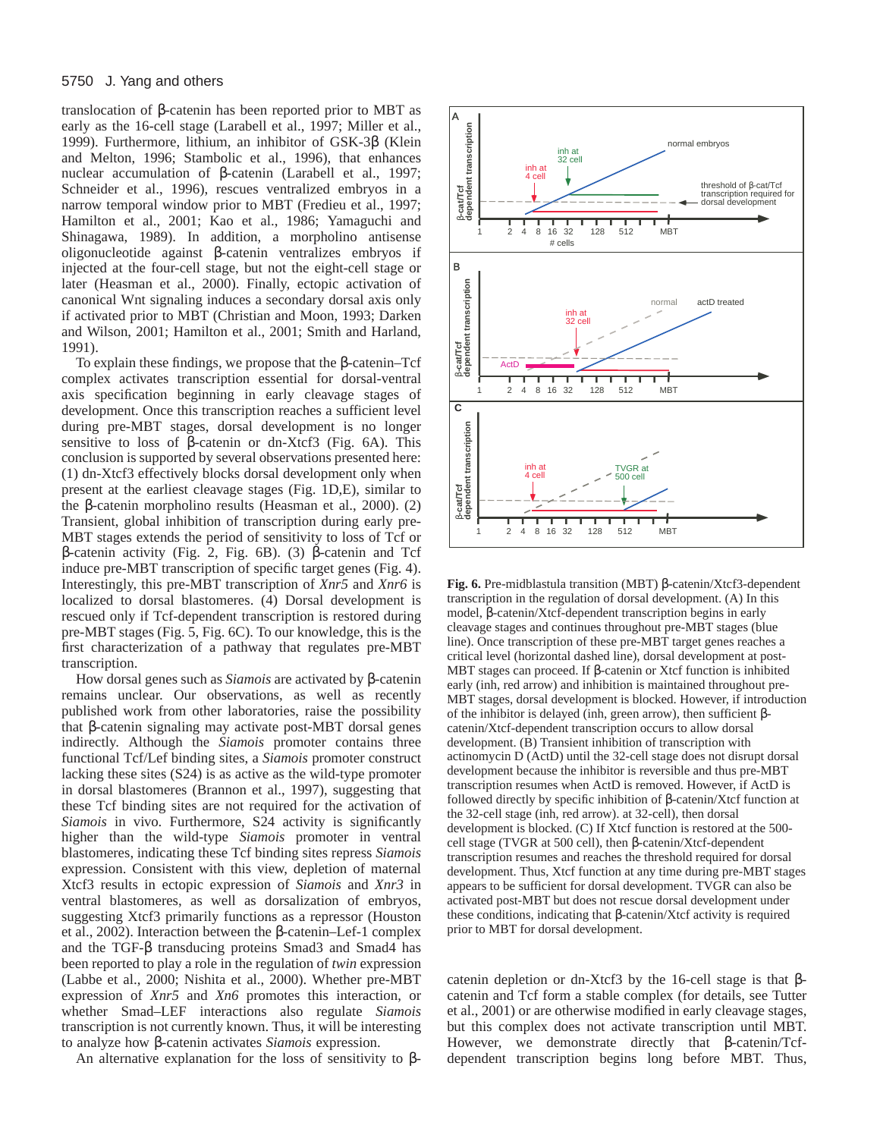translocation of β-catenin has been reported prior to MBT as early as the 16-cell stage (Larabell et al., 1997; Miller et al., 1999). Furthermore, lithium, an inhibitor of GSK-3β (Klein and Melton, 1996; Stambolic et al., 1996), that enhances nuclear accumulation of β-catenin (Larabell et al., 1997; Schneider et al., 1996), rescues ventralized embryos in a narrow temporal window prior to MBT (Fredieu et al., 1997; Hamilton et al., 2001; Kao et al., 1986; Yamaguchi and Shinagawa, 1989). In addition, a morpholino antisense oligonucleotide against β-catenin ventralizes embryos if injected at the four-cell stage, but not the eight-cell stage or later (Heasman et al., 2000). Finally, ectopic activation of canonical Wnt signaling induces a secondary dorsal axis only if activated prior to MBT (Christian and Moon, 1993; Darken and Wilson, 2001; Hamilton et al., 2001; Smith and Harland, 1991).

To explain these findings, we propose that the β-catenin–Tcf complex activates transcription essential for dorsal-ventral axis specification beginning in early cleavage stages of development. Once this transcription reaches a sufficient level during pre-MBT stages, dorsal development is no longer sensitive to loss of β-catenin or dn-Xtcf3 (Fig. 6A). This conclusion is supported by several observations presented here: (1) dn-Xtcf3 effectively blocks dorsal development only when present at the earliest cleavage stages (Fig. 1D,E), similar to the β-catenin morpholino results (Heasman et al., 2000). (2) Transient, global inhibition of transcription during early pre-MBT stages extends the period of sensitivity to loss of Tcf or β-catenin activity (Fig. 2, Fig. 6B). (3) β-catenin and Tcf induce pre-MBT transcription of specific target genes (Fig. 4). Interestingly, this pre-MBT transcription of *Xnr5* and *Xnr6* is localized to dorsal blastomeres. (4) Dorsal development is rescued only if Tcf-dependent transcription is restored during pre-MBT stages (Fig. 5, Fig. 6C). To our knowledge, this is the first characterization of a pathway that regulates pre-MBT transcription.

How dorsal genes such as *Siamois* are activated by β-catenin remains unclear. Our observations, as well as recently published work from other laboratories, raise the possibility that β-catenin signaling may activate post-MBT dorsal genes indirectly. Although the *Siamois* promoter contains three functional Tcf/Lef binding sites, a *Siamois* promoter construct lacking these sites (S24) is as active as the wild-type promoter in dorsal blastomeres (Brannon et al., 1997), suggesting that these Tcf binding sites are not required for the activation of *Siamois* in vivo. Furthermore, S24 activity is significantly higher than the wild-type *Siamois* promoter in ventral blastomeres, indicating these Tcf binding sites repress *Siamois* expression. Consistent with this view, depletion of maternal Xtcf3 results in ectopic expression of *Siamois* and *Xnr3* in ventral blastomeres, as well as dorsalization of embryos, suggesting Xtcf3 primarily functions as a repressor (Houston et al., 2002). Interaction between the β-catenin–Lef-1 complex and the TGF-β transducing proteins Smad3 and Smad4 has been reported to play a role in the regulation of *twin* expression (Labbe et al., 2000; Nishita et al., 2000). Whether pre-MBT expression of *Xnr5* and *Xn6* promotes this interaction, or whether Smad–LEF interactions also regulate *Siamois* transcription is not currently known. Thus, it will be interesting to analyze how β-catenin activates *Siamois* expression.

An alternative explanation for the loss of sensitivity to  $\beta$ -



**Fig. 6.** Pre-midblastula transition (MBT) β-catenin/Xtcf3-dependent transcription in the regulation of dorsal development. (A) In this model, β-catenin/Xtcf-dependent transcription begins in early cleavage stages and continues throughout pre-MBT stages (blue line). Once transcription of these pre-MBT target genes reaches a critical level (horizontal dashed line), dorsal development at post-MBT stages can proceed. If β-catenin or Xtcf function is inhibited early (inh, red arrow) and inhibition is maintained throughout pre-MBT stages, dorsal development is blocked. However, if introduction of the inhibitor is delayed (inh, green arrow), then sufficient βcatenin/Xtcf-dependent transcription occurs to allow dorsal development. (B) Transient inhibition of transcription with actinomycin D (ActD) until the 32-cell stage does not disrupt dorsal development because the inhibitor is reversible and thus pre-MBT transcription resumes when ActD is removed. However, if ActD is followed directly by specific inhibition of β-catenin/Xtcf function at the 32-cell stage (inh, red arrow). at 32-cell), then dorsal development is blocked. (C) If Xtcf function is restored at the 500 cell stage (TVGR at 500 cell), then β-catenin/Xtcf-dependent transcription resumes and reaches the threshold required for dorsal development. Thus, Xtcf function at any time during pre-MBT stages appears to be sufficient for dorsal development. TVGR can also be activated post-MBT but does not rescue dorsal development under these conditions, indicating that β-catenin/Xtcf activity is required prior to MBT for dorsal development.

catenin depletion or dn-Xtcf3 by the 16-cell stage is that βcatenin and Tcf form a stable complex (for details, see Tutter et al., 2001) or are otherwise modified in early cleavage stages, but this complex does not activate transcription until MBT. However, we demonstrate directly that β-catenin/Tcfdependent transcription begins long before MBT. Thus,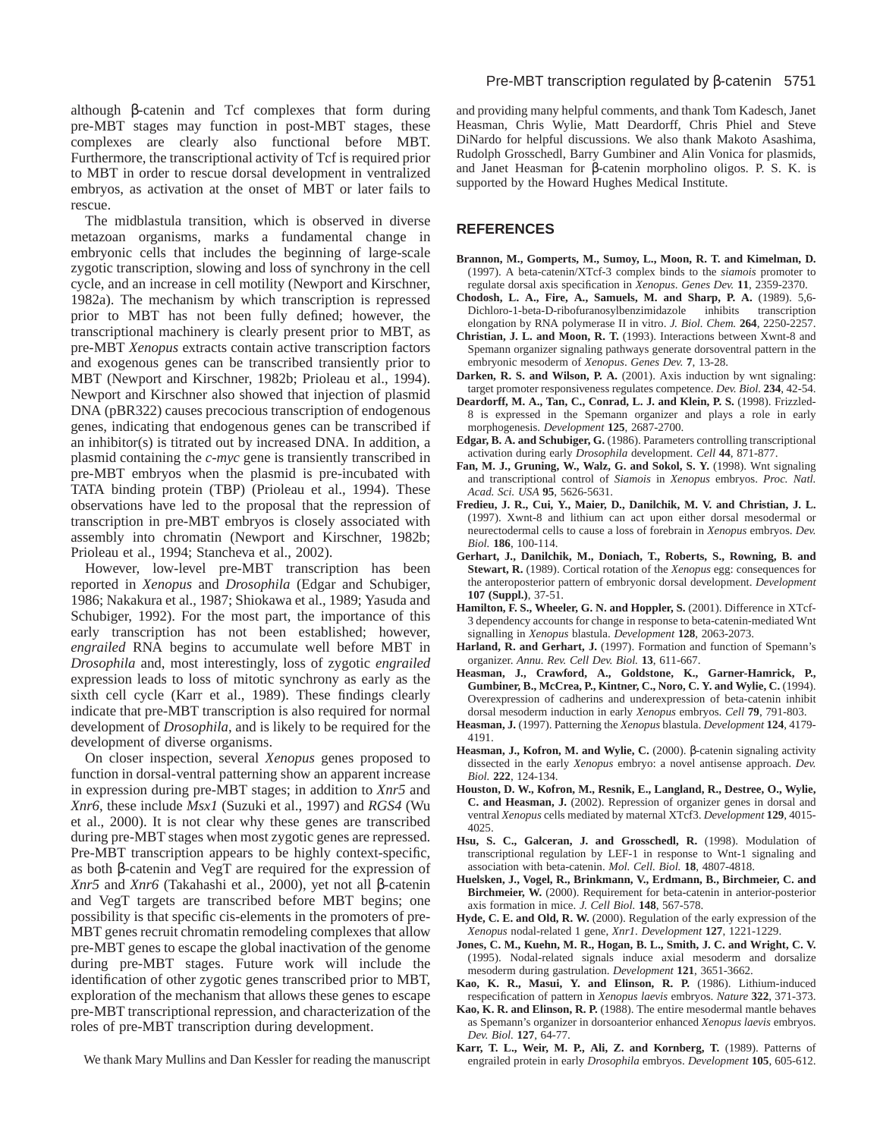although β-catenin and Tcf complexes that form during pre-MBT stages may function in post-MBT stages, these complexes are clearly also functional before MBT. Furthermore, the transcriptional activity of Tcf is required prior to MBT in order to rescue dorsal development in ventralized embryos, as activation at the onset of MBT or later fails to rescue.

The midblastula transition, which is observed in diverse metazoan organisms, marks a fundamental change in embryonic cells that includes the beginning of large-scale zygotic transcription, slowing and loss of synchrony in the cell cycle, and an increase in cell motility (Newport and Kirschner, 1982a). The mechanism by which transcription is repressed prior to MBT has not been fully defined; however, the transcriptional machinery is clearly present prior to MBT, as pre-MBT *Xenopus* extracts contain active transcription factors and exogenous genes can be transcribed transiently prior to MBT (Newport and Kirschner, 1982b; Prioleau et al., 1994). Newport and Kirschner also showed that injection of plasmid DNA (pBR322) causes precocious transcription of endogenous genes, indicating that endogenous genes can be transcribed if an inhibitor(s) is titrated out by increased DNA. In addition, a plasmid containing the *c-myc* gene is transiently transcribed in pre-MBT embryos when the plasmid is pre-incubated with TATA binding protein (TBP) (Prioleau et al., 1994). These observations have led to the proposal that the repression of transcription in pre-MBT embryos is closely associated with assembly into chromatin (Newport and Kirschner, 1982b; Prioleau et al., 1994; Stancheva et al., 2002).

However, low-level pre-MBT transcription has been reported in *Xenopus* and *Drosophila* (Edgar and Schubiger, 1986; Nakakura et al., 1987; Shiokawa et al., 1989; Yasuda and Schubiger, 1992). For the most part, the importance of this early transcription has not been established; however, *engrailed* RNA begins to accumulate well before MBT in *Drosophila* and, most interestingly, loss of zygotic *engrailed* expression leads to loss of mitotic synchrony as early as the sixth cell cycle (Karr et al., 1989). These findings clearly indicate that pre-MBT transcription is also required for normal development of *Drosophila*, and is likely to be required for the development of diverse organisms.

On closer inspection, several *Xenopus* genes proposed to function in dorsal-ventral patterning show an apparent increase in expression during pre-MBT stages; in addition to *Xnr5* and *Xnr6*, these include *Msx1* (Suzuki et al., 1997) and *RGS4* (Wu et al., 2000). It is not clear why these genes are transcribed during pre-MBT stages when most zygotic genes are repressed. Pre-MBT transcription appears to be highly context-specific, as both β-catenin and VegT are required for the expression of *Xnr5* and *Xnr6* (Takahashi et al., 2000), yet not all β-catenin and VegT targets are transcribed before MBT begins; one possibility is that specific cis-elements in the promoters of pre-MBT genes recruit chromatin remodeling complexes that allow pre-MBT genes to escape the global inactivation of the genome during pre-MBT stages. Future work will include the identification of other zygotic genes transcribed prior to MBT, exploration of the mechanism that allows these genes to escape pre-MBT transcriptional repression, and characterization of the roles of pre-MBT transcription during development.

and providing many helpful comments, and thank Tom Kadesch, Janet Heasman, Chris Wylie, Matt Deardorff, Chris Phiel and Steve DiNardo for helpful discussions. We also thank Makoto Asashima, Rudolph Grosschedl, Barry Gumbiner and Alin Vonica for plasmids, and Janet Heasman for β-catenin morpholino oligos. P. S. K. is supported by the Howard Hughes Medical Institute.

# **REFERENCES**

- **Brannon, M., Gomperts, M., Sumoy, L., Moon, R. T. and Kimelman, D.** (1997). A beta-catenin/XTcf-3 complex binds to the *siamois* promoter to regulate dorsal axis specification in *Xenopus*. *Genes Dev.* **11**, 2359-2370.
- **Chodosh, L. A., Fire, A., Samuels, M. and Sharp, P. A.** (1989). 5,6- Dichloro-1-beta-D-ribofuranosylbenzimidazole inhibits transcription elongation by RNA polymerase II in vitro. *J. Biol. Chem.* **264**, 2250-2257.
- **Christian, J. L. and Moon, R. T.** (1993). Interactions between Xwnt-8 and Spemann organizer signaling pathways generate dorsoventral pattern in the embryonic mesoderm of *Xenopus*. *Genes Dev.* **7**, 13-28.
- **Darken, R. S. and Wilson, P. A.** (2001). Axis induction by wnt signaling: target promoter responsiveness regulates competence. *Dev. Biol.* **234**, 42-54.
- **Deardorff, M. A., Tan, C., Conrad, L. J. and Klein, P. S.** (1998). Frizzled-8 is expressed in the Spemann organizer and plays a role in early morphogenesis. *Development* **125**, 2687-2700.
- **Edgar, B. A. and Schubiger, G.** (1986). Parameters controlling transcriptional activation during early *Drosophila* development. *Cell* **44**, 871-877.
- **Fan, M. J., Gruning, W., Walz, G. and Sokol, S. Y.** (1998). Wnt signaling and transcriptional control of *Siamois* in *Xenopus* embryos. *Proc. Natl. Acad. Sci. USA* **95**, 5626-5631.
- **Fredieu, J. R., Cui, Y., Maier, D., Danilchik, M. V. and Christian, J. L.** (1997). Xwnt-8 and lithium can act upon either dorsal mesodermal or neurectodermal cells to cause a loss of forebrain in *Xenopus* embryos. *Dev. Biol.* **186**, 100-114.
- **Gerhart, J., Danilchik, M., Doniach, T., Roberts, S., Rowning, B. and Stewart, R.** (1989). Cortical rotation of the *Xenopus* egg: consequences for the anteroposterior pattern of embryonic dorsal development. *Development* **107 (Suppl.)**, 37-51.
- **Hamilton, F. S., Wheeler, G. N. and Hoppler, S.** (2001). Difference in XTcf-3 dependency accounts for change in response to beta-catenin-mediated Wnt signalling in *Xenopus* blastula. *Development* **128**, 2063-2073.
- Harland, R. and Gerhart, J. (1997). Formation and function of Spemann's organizer. *Annu. Rev. Cell Dev. Biol.* **13**, 611-667.
- **Heasman, J., Crawford, A., Goldstone, K., Garner-Hamrick, P., Gumbiner, B., McCrea, P., Kintner, C., Noro, C. Y. and Wylie, C.** (1994). Overexpression of cadherins and underexpression of beta-catenin inhibit dorsal mesoderm induction in early *Xenopus* embryos. *Cell* **79**, 791-803.
- **Heasman, J.** (1997). Patterning the *Xenopus* blastula. *Development* **124**, 4179- 4191.
- **Heasman, J., Kofron, M. and Wylie, C.** (2000). β-catenin signaling activity dissected in the early *Xenopus* embryo: a novel antisense approach. *Dev. Biol.* **222**, 124-134.
- **Houston, D. W., Kofron, M., Resnik, E., Langland, R., Destree, O., Wylie, C. and Heasman, J.** (2002). Repression of organizer genes in dorsal and ventral *Xenopus* cells mediated by maternal XTcf3. *Development* **129**, 4015- 4025.
- **Hsu, S. C., Galceran, J. and Grosschedl, R.** (1998). Modulation of transcriptional regulation by LEF-1 in response to Wnt-1 signaling and association with beta-catenin. *Mol. Cell. Biol.* **18**, 4807-4818.
- **Huelsken, J., Vogel, R., Brinkmann, V., Erdmann, B., Birchmeier, C. and Birchmeier, W.** (2000). Requirement for beta-catenin in anterior-posterior axis formation in mice. *J. Cell Biol.* **148**, 567-578.
- **Hyde, C. E. and Old, R. W.** (2000). Regulation of the early expression of the *Xenopus* nodal-related 1 gene, *Xnr1*. *Development* **127**, 1221-1229.
- **Jones, C. M., Kuehn, M. R., Hogan, B. L., Smith, J. C. and Wright, C. V.** (1995). Nodal-related signals induce axial mesoderm and dorsalize mesoderm during gastrulation. *Development* **121**, 3651-3662.
- **Kao, K. R., Masui, Y. and Elinson, R. P.** (1986). Lithium-induced respecification of pattern in *Xenopus laevis* embryos. *Nature* **322**, 371-373.
- **Kao, K. R. and Elinson, R. P.** (1988). The entire mesodermal mantle behaves as Spemann's organizer in dorsoanterior enhanced *Xenopus laevis* embryos. *Dev. Biol.* **127**, 64-77.
- **Karr, T. L., Weir, M. P., Ali, Z. and Kornberg, T.** (1989). Patterns of engrailed protein in early *Drosophila* embryos. *Development* **105**, 605-612.